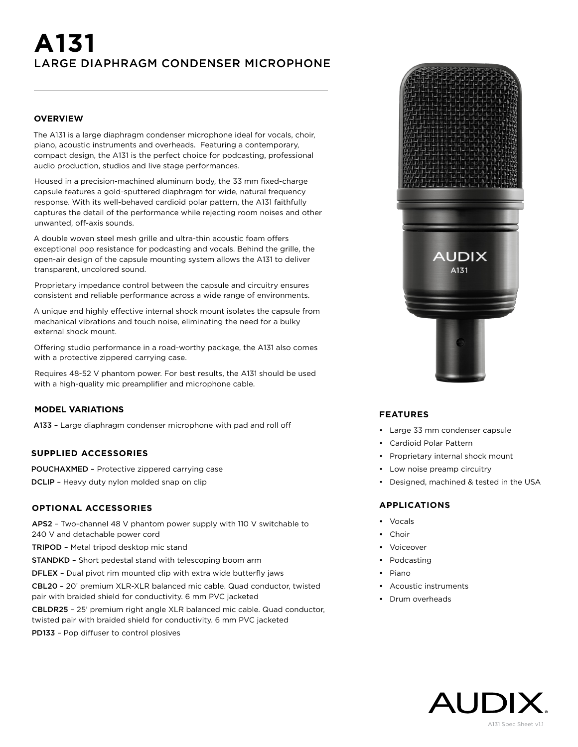# **A131** LARGE DIAPHRAGM CONDENSER MICROPHONE

#### **OVERVIEW**

The A131 is a large diaphragm condenser microphone ideal for vocals, choir, piano, acoustic instruments and overheads. Featuring a contemporary, compact design, the A131 is the perfect choice for podcasting, professional audio production, studios and live stage performances.

Housed in a precision-machined aluminum body, the 33 mm fixed-charge capsule features a gold-sputtered diaphragm for wide, natural frequency response. With its well-behaved cardioid polar pattern, the A131 faithfully captures the detail of the performance while rejecting room noises and other unwanted, off-axis sounds.

A double woven steel mesh grille and ultra-thin acoustic foam offers exceptional pop resistance for podcasting and vocals. Behind the grille, the open-air design of the capsule mounting system allows the A131 to deliver transparent, uncolored sound.

Proprietary impedance control between the capsule and circuitry ensures consistent and reliable performance across a wide range of environments.

A unique and highly effective internal shock mount isolates the capsule from mechanical vibrations and touch noise, eliminating the need for a bulky external shock mount.

Offering studio performance in a road-worthy package, the A131 also comes with a protective zippered carrying case.

Requires 48-52 V phantom power. For best results, the A131 should be used with a high-quality mic preamplifier and microphone cable.

## **MODEL VARIATIONS**

A133 – Large diaphragm condenser microphone with pad and roll off

# **SUPPLIED ACCESSORIES**

POUCHAXMED – Protective zippered carrying case

DCLIP – Heavy duty nylon molded snap on clip

#### **OPTIONAL ACCESSORIES**

APS2 – Two-channel 48 V phantom power supply with 110 V switchable to 240 V and detachable power cord

TRIPOD – Metal tripod desktop mic stand

STANDKD – Short pedestal stand with telescoping boom arm

DFLEX – Dual pivot rim mounted clip with extra wide butterfly jaws

CBL20 – 20' premium XLR-XLR balanced mic cable. Quad conductor, twisted pair with braided shield for conductivity. 6 mm PVC jacketed

CBLDR25 – 25' premium right angle XLR balanced mic cable. Quad conductor, twisted pair with braided shield for conductivity. 6 mm PVC jacketed

PD133 – Pop diffuser to control plosives



#### **FEATURES**

- Large 33 mm condenser capsule
- Cardioid Polar Pattern
- Proprietary internal shock mount
- Low noise preamp circuitry
- Designed, machined & tested in the USA

#### **APPLICATIONS**

- Vocals
- Choir
- Voiceover
- Podcasting
- Piano
- Acoustic instruments
- Drum overheads